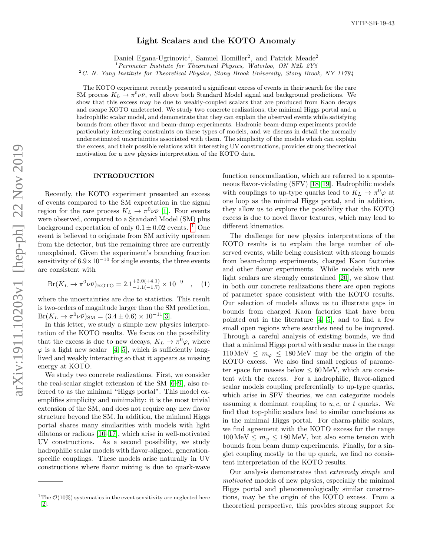# Light Scalars and the KOTO Anomaly

Daniel Egana-Ugrinovic<sup>1</sup>, Samuel Homiller<sup>2</sup>, and Patrick Meade<sup>2</sup>

<sup>1</sup> Perimeter Institute for Theoretical Physics, Waterloo, ON N2L 2Y5

<span id="page-0-1"></span> $2^2C$ . N. Yang Institute for Theoretical Physics, Stony Brook University, Stony Brook, NY 11794

The KOTO experiment recently presented a significant excess of events in their search for the rare SM process  $K_L \to \pi^0 \nu \bar{\nu}$ , well above both Standard Model signal and background predictions. We show that this excess may be due to weakly-coupled scalars that are produced from Kaon decays and escape KOTO undetected. We study two concrete realizations, the minimal Higgs portal and a hadrophilic scalar model, and demonstrate that they can explain the observed events while satisfying bounds from other flavor and beam-dump experiments. Hadronic beam-dump experiments provide particularly interesting constraints on these types of models, and we discuss in detail the normally underestimated uncertainties associated with them. The simplicity of the models which can explain the excess, and their possible relations with interesting UV constructions, provides strong theoretical motivation for a new physics interpretation of the KOTO data.

#### INTRODUCTION

Recently, the KOTO experiment presented an excess of events compared to the SM expectation in the signal region for the rare process  $K_L \to \pi^0 \nu \bar{\nu}$  [\[1\]](#page-9-0). Four events were observed, compared to a Standard Model (SM) plus background expectation of only  $0.1 \pm 0.02$  events. <sup>1</sup> One event is believed to originate from SM activity upstream from the detector, but the remaining three are currently unexplained. Given the experiment's branching fraction sensitivity of  $6.9\times10^{-10}$  for single events, the three events are consistent with

<span id="page-0-0"></span>
$$
Br(K_L \to \pi^0 \nu \bar{\nu})_{KOTO} = 2.1^{+2.0(+4.1)}_{-1.1(-1.7)} \times 10^{-9} \quad , \quad (1)
$$

where the uncertainties are due to statistics. This result is two-orders of magnitude larger than the SM prediction,  $Br(K_L \to \pi^0 \nu \bar{\nu})_{\rm SM} = (3.4 \pm 0.6) \times 10^{-11} [3].$  $Br(K_L \to \pi^0 \nu \bar{\nu})_{\rm SM} = (3.4 \pm 0.6) \times 10^{-11} [3].$  $Br(K_L \to \pi^0 \nu \bar{\nu})_{\rm SM} = (3.4 \pm 0.6) \times 10^{-11} [3].$ 

In this letter, we study a simple new physics interpretation of the KOTO results. We focus on the possibility that the excess is due to new decays,  $K_L \to \pi^0 \varphi$ , where  $\varphi$  is a light new scalar [\[4,](#page-9-2) [5\]](#page-10-0), which is sufficiently longlived and weakly interacting so that it appears as missing energy at KOTO.

We study two concrete realizations. First, we consider the real-scalar singlet extension of the SM [\[6–](#page-10-1)[9\]](#page-10-2), also referred to as the minimal "Higgs portal". This model exemplifies simplicity and minimality: it is the most trivial extension of the SM, and does not require any new flavor structure beyond the SM. In addition, the minimal Higgs portal shares many similarities with models with light dilatons or radions [\[10–](#page-10-3)[17\]](#page-10-4), which arise in well-motivated UV constructions. As a second possibility, we study hadrophilic scalar models with flavor-aligned, generationspecific couplings. These models arise naturally in UV constructions where flavor mixing is due to quark-wave

function renormalization, which are referred to a spontaneous flavor-violating (SFV) [\[18,](#page-10-5) [19\]](#page-10-6). Hadrophilic models with couplings to up-type quarks lead to  $K_L \to \pi^0 \varphi$  at one loop as the minimal Higgs portal, and in addition, they allow us to explore the possibility that the KOTO excess is due to novel flavor textures, which may lead to different kinematics.

The challenge for new physics interpretations of the KOTO results is to explain the large number of observed events, while being consistent with strong bounds from beam-dump experiments, charged Kaon factories and other flavor experiments. While models with new light scalars are strongly constrained [\[20\]](#page-10-7), we show that in both our concrete realizations there are open regions of parameter space consistent with the KOTO results. Our selection of models allows us to illustrate gaps in bounds from charged Kaon factories that have been pointed out in the literature [\[4,](#page-9-2) [5\]](#page-10-0), and to find a few small open regions where searches need to be improved. Through a careful analysis of existing bounds, we find that a minimal Higgs portal with scalar mass in the range  $110 \,\mathrm{MeV} \leq m_\varphi \leq 180 \,\mathrm{MeV}$  may be the origin of the KOTO excess. We also find small regions of parameter space for masses below  $\leq 60 \,\text{MeV}$ , which are consistent with the excess. For a hadrophilic, flavor-aligned scalar models coupling preferentially to up-type quarks, which arise in SFV theories, we can categorize models assuming a dominant coupling to  $u, c$ , or  $t$  quarks. We find that top-philic scalars lead to similar conclusions as in the minimal Higgs portal. For charm-philic scalars, we find agreement with the KOTO excess for the range  $100 \,\text{MeV} \leq m_{\varphi} \leq 180 \,\text{MeV}$ , but also some tension with bounds from beam dump experiments. Finally, for a singlet coupling mostly to the up quark, we find no consistent interpretation of the KOTO results.

Our analysis demonstrates that extremely simple and motivated models of new physics, especially the minimal Higgs portal and phenomenologically similar constructions, may be the origin of the KOTO excess. From a theoretical perspective, this provides strong support for

<sup>&</sup>lt;sup>1</sup>The  $\mathcal{O}(10\%)$  systematics in the event sensitivity are neglected here [\[2\]](#page-9-3).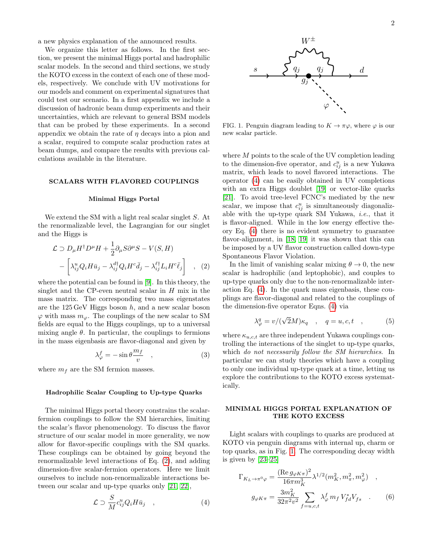a new physics explanation of the announced results.

We organize this letter as follows. In the first section, we present the minimal Higgs portal and hadrophilic scalar models. In the second and third sections, we study the KOTO excess in the context of each one of these models, respectively. We conclude with UV motivations for our models and comment on experimental signatures that could test our scenario. In a first appendix we include a discussion of hadronic beam dump experiments and their uncertainties, which are relevant to general BSM models that can be probed by these experiments. In a second appendix we obtain the rate of  $\eta$  decays into a pion and a scalar, required to compute scalar production rates at beam dumps, and compare the results with previous calculations available in the literature.

### SCALARS WITH FLAVORED COUPLINGS

#### Minimal Higgs Portal

We extend the SM with a light real scalar singlet S. At the renormalizable level, the Lagrangian for our singlet and the Higgs is

<span id="page-1-0"></span>
$$
\mathcal{L} \supset D_{\mu} H^{\dagger} D^{\mu} H + \frac{1}{2} \partial_{\mu} S \partial^{\mu} S - V(S, H) - \left[ \lambda_{ij}^{u} Q_{i} H \bar{u}_{j} - \lambda_{ij}^{d \dagger} Q_{i} H^{c} \bar{d}_{j} - \lambda_{ij}^{f \dagger} L_{i} H^{c} \bar{\ell}_{j} \right] , (2)
$$

where the potential can be found in [\[9\]](#page-10-2). In this theory, the singlet and the CP-even neutral scalar in  $H$  mix in the mass matrix. The corresponding two mass eigenstates are the  $125 \,\text{GeV}$  Higgs boson h, and a new scalar boson  $\varphi$  with mass  $m_{\varphi}$ . The couplings of the new scalar to SM fields are equal to the Higgs couplings, up to a universal mixing angle  $\theta$ . In particular, the couplings to fermions in the mass eigenbasis are flavor-diagonal and given by

<span id="page-1-3"></span>
$$
\lambda_{\varphi}^{f} = -\sin\theta \frac{m_{f}}{v} \quad , \tag{3}
$$

where  $m_f$  are the SM fermion masses.

#### Hadrophilic Scalar Coupling to Up-type Quarks

The minimal Higgs portal theory constrains the scalarfermion couplings to follow the SM hierarchies, limiting the scalar's flavor phenomenology. To discuss the flavor structure of our scalar model in more generality, we now allow for flavor-specific couplings with the SM quarks. These couplings can be obtained by going beyond the renormalizable level interactions of Eq. [\(2\)](#page-1-0), and adding dimension-five scalar-fermion operators. Here we limit ourselves to include non-renormalizable interactions between our scalar and up-type quarks only [\[21,](#page-10-8) [22\]](#page-10-9),

<span id="page-1-1"></span>
$$
\mathcal{L} \supset \frac{S}{M} c_{ij}^u Q_i H \bar{u}_j \quad , \tag{4}
$$



<span id="page-1-2"></span>FIG. 1. Penguin diagram leading to  $K \to \pi \varphi$ , where  $\varphi$  is our new scalar particle.

where  $M$  points to the scale of the UV completion leading to the dimension-five operator, and  $c_{ij}^u$  is a new Yukawa matrix, which leads to novel flavored interactions. The operator [\(4\)](#page-1-1) can be easily obtained in UV completions with an extra Higgs doublet [\[19\]](#page-10-6) or vector-like quarks [\[21\]](#page-10-8). To avoid tree-level FCNC's mediated by the new scalar, we impose that  $c_{ij}^u$  is simultaneously diagonalizable with the up-type quark SM Yukawa, i.e., that it is flavor-aligned. While in the low energy effective theory Eq. [\(4\)](#page-1-1) there is no evident symmetry to guarantee flavor-alignment, in [\[18,](#page-10-5) [19\]](#page-10-6) it was shown that this can be imposed by a UV flavor construction called down-type Spontaneous Flavor Violation.

In the limit of vanishing scalar mixing  $\theta \to 0$ , the new scalar is hadrophilic (and leptophobic), and couples to up-type quarks only due to the non-renormalizable interaction Eq. [\(4\)](#page-1-1). In the quark mass eigenbasis, these couplings are flavor-diagonal and related to the couplings of the dimension-five operator Eqns. [\(4\)](#page-1-1) via

<span id="page-1-5"></span>
$$
\lambda_{\varphi}^{q} = v/(\sqrt{2}M)\kappa_{q} \quad , \quad q = u, c, t \quad , \tag{5}
$$

where  $\kappa_{u,c,t}$  are three independent Yukawa couplings controlling the interactions of the singlet to up-type quarks, which do not necessarily follow the SM hierarchies. In particular we can study theories which have a coupling to only one individual up-type quark at a time, letting us explore the contributions to the KOTO excess systematically.

#### MINIMAL HIGGS PORTAL EXPLANATION OF THE KOTO EXCESS

Light scalars with couplings to quarks are produced at KOTO via penguin diagrams with internal up, charm or top quarks, as in Fig. [1.](#page-1-2) The corresponding decay width is given by [\[23–](#page-10-10)[25\]](#page-10-11)

<span id="page-1-4"></span>
$$
\Gamma_{K_L \to \pi^0 \varphi} = \frac{(\text{Re}\, g_{\varphi K \pi})^2}{16\pi m_K^3} \lambda^{1/2} (m_K^2, m_\pi^2, m_\varphi^2) ,
$$
  

$$
g_{\varphi K \pi} = \frac{3m_K^2}{32\pi^2 v^2} \sum_{f=u,c,t} \lambda_{\varphi}^f m_f V_{fd}^* V_{fs} .
$$
 (6)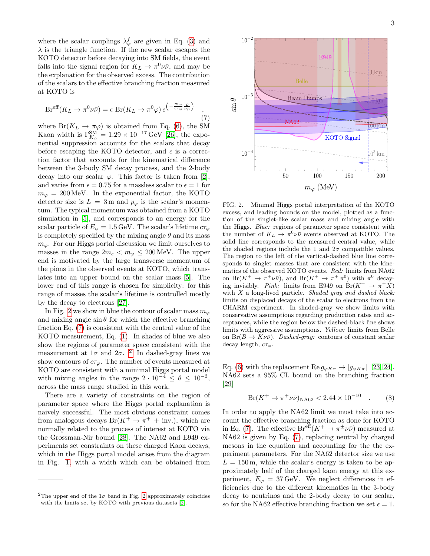where the scalar couplings  $\lambda_{\varphi}^{f}$  are given in Eq. [\(3\)](#page-1-3) and  $\lambda$  is the triangle function. If the new scalar escapes the KOTO detector before decaying into SM fields, the event falls into the signal region for  $K_L \to \pi^0 \nu \bar{\nu}$ , and may be the explanation for the observed excess. The contribution of the scalars to the effective branching fraction measured at KOTO is

<span id="page-2-1"></span>
$$
Br^{\text{eff}}(K_L \to \pi^0 \nu \bar{\nu}) = \epsilon \ Br(K_L \to \pi^0 \varphi) e^{-\frac{m_{\varphi}}{c \tau_{\varphi}} \frac{L}{p_{\varphi}})}, \tag{7}
$$

where  $Br(K_L \to \pi \varphi)$  is obtained from Eq. [\(6\)](#page-1-4), the SM Kaon width is  $\Gamma_{K_L}^{\text{SM}} = 1.29 \times 10^{-17} \text{ GeV}$  [\[26\]](#page-10-12), the exponential suppression accounts for the scalars that decay before escaping the KOTO detector, and  $\epsilon$  is a correction factor that accounts for the kinematical difference between the 3-body SM decay process, and the 2-body decay into our scalar  $\varphi$ . This factor is taken from [\[2\]](#page-9-3), and varies from  $\epsilon = 0.75$  for a massless scalar to  $\epsilon = 1$  for  $m_{\varphi} = 200 \,\text{MeV}$ . In the exponential factor, the KOTO detector size is  $L = 3$  m and  $p_{\varphi}$  is the scalar's momentum. The typical momentum was obtained from a KOTO simulation in [\[5\]](#page-10-0), and corresponds to an energy for the scalar particle of  $E_{\varphi} = 1.5 \,\text{GeV}$ . The scalar's lifetime  $c\tau_{\varphi}$ is completely specified by the mixing angle  $\theta$  and its mass  $m_{\varphi}$ . For our Higgs portal discussion we limit ourselves to masses in the range  $2m_e < m_\varphi \leq 200$  MeV. The upper end is motivated by the large transverse momentum of the pions in the observed events at KOTO, which translates into an upper bound on the scalar mass [\[5\]](#page-10-0). The lower end of this range is chosen for simplicity: for this range of masses the scalar's lifetime is controlled mostly by the decay to electrons [\[27\]](#page-10-13).

In Fig. [2](#page-2-0) we show in blue the contour of scalar mass  $m_{\varphi}$ and mixing angle  $\sin \theta$  for which the effective branching fraction Eq. [\(7\)](#page-2-1) is consistent with the central value of the KOTO measurement, Eq. [\(1\)](#page-0-0). In shades of blue we also show the regions of parameter space consistent with the measurement at  $1\sigma$  and  $2\sigma$  $2\sigma$ . <sup>2</sup> In dashed-gray lines we show contours of  $c\tau_{\varphi}$ . The number of events measured at KOTO are consistent with a minimal Higgs portal model with mixing angles in the range  $2 \cdot 10^{-4} \le \theta \le 10^{-3}$ , across the mass range studied in this work.

There are a variety of constraints on the region of parameter space where the Higgs portal explanation is naively successful. The most obvious constraint comes from analogous decays  $Br(K^+ \to \pi^+ + inv)$ , which are normally related to the process of interest at KOTO via the Grossman-Nir bound [\[28\]](#page-10-14). The NA62 and E949 experiments set constraints on these charged Kaon decays, which in the Higgs portal model arises from the diagram in Fig. [1,](#page-1-2) with a width which can be obtained from



<span id="page-2-0"></span>FIG. 2. Minimal Higgs portal interpretation of the KOTO excess, and leading bounds on the model, plotted as a function of the singlet-like scalar mass and mixing angle with the Higgs. Blue: regions of parameter space consistent with the number of  $K_L \to \pi^0 \nu \bar{\nu}$  events observed at KOTO. The solid line corresponds to the measured central value, while the shaded regions include the 1 and  $2\sigma$  compatible values. The region to the left of the vertical-dashed blue line corresponds to singlet masses that are consistent with the kinematics of the observed KOTO events. Red: limits from NA62 on  $Br(K^+ \to \pi^+ \nu \bar{\nu})$ , and  $Br(K^+ \to \pi^+ \pi^0)$  with  $\pi^0$  decaying invisibly. *Pink*: limits from E949 on  $Br(K^+ \to \pi^+ X)$ with  $X$  a long-lived particle. Shaded gray and dashed black: limits on displaced decays of the scalar to electrons from the CHARM experiment. In shaded-gray we show limits with conservative assumptions regarding production rates and acceptances, while the region below the dashed-black line shows limits with aggressive assumptions. Yellow: limits from Belle on  $Br(B \to K\nu\bar{\nu})$ . Dashed-gray: contours of constant scalar decay length,  $c\tau_{\varphi}$ .

Eq. [\(6\)](#page-1-4) with the replacement Re  $g_{\varphi K\pi} \to |g_{\varphi K\pi}|$  [\[23,](#page-10-10) [24\]](#page-10-15). NA62 sets a 95% CL bound on the branching fraction [\[29\]](#page-10-16)

$$
Br(K^+ \to \pi^+ \nu \bar{\nu})_{\rm NA62} < 2.44 \times 10^{-10} \quad . \tag{8}
$$

In order to apply the NA62 limit we must take into account the effective branching fraction as done for KOTO in Eq. [\(7\)](#page-2-1). The effective  $Br^{\text{eff}}(K^+ \to \pi^{\pm} \nu \bar{\nu})$  measured at NA62 is given by Eq. [\(7\)](#page-2-1), replacing neutral by charged mesons in the equation and accounting for the the experiment parameters. For the NA62 detector size we use  $L = 150$  m, while the scalar's energy is taken to be approximately half of the charged kaon energy at this experiment,  $E_{\varphi} = 37 \,\text{GeV}$ . We neglect differences in efficiencies due to the different kinematics in the 3-body decay to neutrinos and the 2-body decay to our scalar, so for the NA62 effective branching fraction we set  $\epsilon = 1$ .

<sup>&</sup>lt;sup>2</sup>The upper end of the  $1\sigma$  band in Fig. [2](#page-2-0) approximately coincides with the limits set by KOTO with previous datasets [\[2\]](#page-9-3).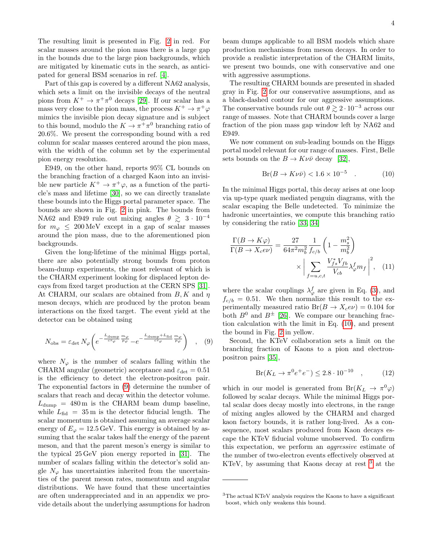The resulting limit is presented in Fig. [2](#page-2-0) in red. For scalar masses around the pion mass there is a large gap in the bounds due to the large pion backgrounds, which are mitigated by kinematic cuts in the search, as anticipated for general BSM scenarios in ref. [\[4\]](#page-9-2).

Part of this gap is covered by a different NA62 analysis, which sets a limit on the invisible decays of the neutral pions from  $K^+ \to \pi^+\pi^0$  decays [\[29\]](#page-10-16). If our scalar has a mass very close to the pion mass, the process  $K^+ \to \pi^+ \varphi$ mimics the invisible pion decay signature and is subject to this bound, modulo the  $K \to \pi^+ \pi^0$  branching ratio of 20.6%. We present the corresponding bound with a red column for scalar masses centered around the pion mass, with the width of the column set by the experimental pion energy resolution.

E949, on the other hand, reports 95% CL bounds on the branching fraction of a charged Kaon into an invisible new particle  $K^+ \to \pi^+ \varphi$ , as a function of the particle's mass and lifetime [\[30\]](#page-10-17), so we can directly translate these bounds into the Higgs portal parameter space. The bounds are shown in Fig. [2](#page-2-0) in pink. The bounds from NA62 and E949 rule out mixing angles  $\theta \gtrsim 3 \cdot 10^{-4}$ for  $m_{\varphi} \leq 200 \,\text{MeV}$  except in a gap of scalar masses around the pion mass, due to the aforementioned pion backgrounds.

Given the long-lifetime of the minimal Higgs portal, there are also potentially strong bounds from proton beam-dump experiments, the most relevant of which is the CHARM experiment looking for displaced lepton decays from fixed target production at the CERN SPS [\[31\]](#page-10-18). At CHARM, our scalars are obtained from  $B, K$  and  $\eta$ meson decays, which are produced by the proton beam interactions on the fixed target. The event yield at the detector can be obtained using

$$
N_{\rm obs} = \varepsilon_{\rm det} N_{\varphi} \bigg( e^{-\frac{L_{\rm dump}}{c\tau_{\varphi}} \frac{m_{\varphi}}{p_{\varphi}}} - e^{-\frac{L_{\rm dump} + L_{\rm fid}}{c\tau_{\varphi}} \frac{m_{\varphi}}{p_{\varphi}}} \bigg) \quad , \quad (9)
$$

where  $N_{\varphi}$  is the number of scalars falling within the CHARM angular (geometric) acceptance and  $\varepsilon_{\text{det}} = 0.51$ is the efficiency to detect the electron-positron pair. The exponential factors in [\(9\)](#page-3-0) determine the number of scalars that reach and decay within the detector volume.  $L_{\text{dump}} = 480 \,\text{m}$  is the CHARM beam dump baseline, while  $L_{\text{fid}} = 35 \,\text{m}$  is the detector fiducial length. The scalar momentum is obtained assuming an average scalar energy of  $E_{\varphi} = 12.5 \,\text{GeV}$ . This energy is obtained by assuming that the scalar takes half the energy of the parent meson, and that the parent meson's energy is similar to the typical 25 GeV pion energy reported in [\[31\]](#page-10-18). The number of scalars falling within the detector's solid angle  $N_{\varphi}$  has uncertainties inherited from the uncertainties of the parent meson rates, momentum and angular distributions. We have found that these uncertainties are often underappreciated and in an appendix we provide details about the underlying assumptions for hadron beam dumps applicable to all BSM models which share production mechanisms from meson decays. In order to provide a realistic interpretation of the CHARM limits, we present two bounds, one with conservative and one with aggressive assumptions.

The resulting CHARM bounds are presented in shaded gray in Fig. [2](#page-2-0) for our conservative assumptions, and as a black-dashed contour for our aggressive assumptions. The conservative bounds rule out  $\theta \geq 2 \cdot 10^{-3}$  across our range of masses. Note that CHARM bounds cover a large fraction of the pion mass gap window left by NA62 and E949.

We now comment on sub-leading bounds on the Higgs portal model relevant for our range of masses. First, Belle sets bounds on the  $B \to K \nu \bar{\nu}$  decay [\[32\]](#page-10-19),

<span id="page-3-1"></span>
$$
Br(B \to K\nu\bar{\nu}) < 1.6 \times 10^{-5} \quad . \tag{10}
$$

In the minimal Higgs portal, this decay arises at one loop via up-type quark mediated penguin diagrams, with the scalar escaping the Belle undetected. To minimize the hadronic uncertainties, we compute this branching ratio by considering the ratio [\[33,](#page-10-20) [34\]](#page-10-21)

$$
\frac{\Gamma(B \to K\varphi)}{\Gamma(B \to X_c e\nu)} = \frac{27}{64\pi^2 m_b^2} \frac{1}{f_{c/b}} \left(1 - \frac{m_s^2}{m_b^2}\right) \times \left| \sum_{f=u,c,t} \frac{V_{fs}^* V_{fb}}{V_{cb}} \lambda_{\varphi}^f m_f \right|^2, \quad (11)
$$

where the scalar couplings  $\lambda_{\varphi}^{f}$  are given in Eq. [\(3\)](#page-1-3), and  $f_{c/b} = 0.51$ . We then normalize this result to the experimentally measured ratio  $Br(B \to X_c e \nu) = 0.104$  for both  $B^0$  and  $B^{\pm}$  [\[26\]](#page-10-12). We compare our branching fraction calculation with the limit in Eq. [\(10\)](#page-3-1), and present the bound in Fig. [2](#page-2-0) in yellow.

<span id="page-3-0"></span>Second, the KTeV collaboration sets a limit on the branching fraction of Kaons to a pion and electronpositron pairs [\[35\]](#page-10-22),

<span id="page-3-2"></span>
$$
Br(K_L \to \pi^0 e^+ e^-) \le 2.8 \cdot 10^{-10} \quad , \tag{12}
$$

which in our model is generated from  $Br(K_L \to \pi^0 \varphi)$ followed by scalar decays. While the minimal Higgs portal scalar does decay mostly into electrons, in the range of mixing angles allowed by the CHARM and charged kaon factory bounds, it is rather long-lived. As a consequence, most scalars produced from Kaon decays escape the KTeV fiducial volume unobserved. To confirm this expectation, we perform an aggressive estimate of the number of two-electron events effectively observed at KTeV, by assuming that Kaons decay at rest [3](#page-0-1) at the

<sup>3</sup>The actual KTeV analysis requires the Kaons to have a significant boost, which only weakens this bound.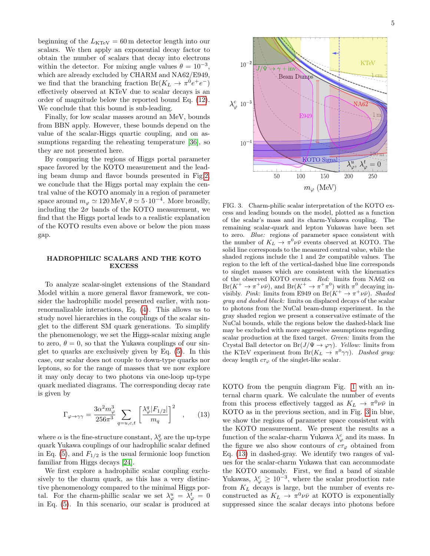beginning of the  $L_{\text{KTeV}} = 60 \,\text{m}$  detector length into our scalars. We then apply an exponential decay factor to obtain the number of scalars that decay into electrons within the detector. For mixing angle values  $\theta = 10^{-3}$ , which are already excluded by CHARM and NA62/E949, we find that the branching fraction  $Br(K_L \to \pi^0 e^+ e^-)$ effectively observed at KTeV due to scalar decays is an order of magnitude below the reported bound Eq. [\(12\)](#page-3-2). We conclude that this bound is sub-leading.

Finally, for low scalar masses around an MeV, bounds from BBN apply. However, these bounds depend on the value of the scalar-Higgs quartic coupling, and on assumptions regarding the reheating temperature [\[36\]](#page-10-23), so they are not presented here.

By comparing the regions of Higgs portal parameter space favored by the KOTO measurement and the leading beam dump and flavor bounds presented in Fig[.2,](#page-2-0) we conclude that the Higgs portal may explain the central value of the KOTO anomaly in a region of parameter space around  $m_{\varphi} \simeq 120 \,\text{MeV}, \theta \simeq 5 \cdot 10^{-4}$ . More broadly, including the  $2\sigma$  bands of the KOTO measurement, we find that the Higgs portal leads to a realistic explanation of the KOTO results even above or below the pion mass gap.

# HADROPHILIC SCALARS AND THE KOTO **EXCESS**

To analyze scalar-singlet extensions of the Standard Model within a more general flavor framework, we consider the hadrophilic model presented earlier, with nonrenormalizable interactions, Eq. [\(4\)](#page-1-1). This allows us to study novel hierarchies in the couplings of the scalar singlet to the different SM quark generations. To simplify the phenomenology, we set the Higgs-scalar mixing angle to zero,  $\theta = 0$ , so that the Yukawa couplings of our singlet to quarks are exclusively given by Eq. [\(5\)](#page-1-5). In this case, our scalar does not couple to down-type quarks nor leptons, so for the range of masses that we now explore it may only decay to two photons via one-loop up-type quark mediated diagrams. The corresponding decay rate is given by

<span id="page-4-1"></span>
$$
\Gamma_{\varphi \to \gamma\gamma} = \frac{3\alpha^2 m_{\varphi}^3}{256\pi^3} \sum_{q=u,c,t} \left[ \frac{\lambda_{\varphi}^q |F_{1/2}|}{m_q} \right]^2 \quad , \qquad (13)
$$

where  $\alpha$  is the fine-structure constant,  $\lambda_{\varphi}^q$  are the up-type quark Yukawa couplings of our hadrophilic scalar defined in Eq. [\(5\)](#page-1-5), and  $F_{1/2}$  is the usual fermionic loop function familiar from Higgs decays [\[24\]](#page-10-15).

We first explore a hadrophilic scalar coupling exclusively to the charm quark, as this has a very distinctive phenomenology compared to the minimal Higgs portal. For the charm-phillic scalar we set  $\lambda_{\varphi}^u = \lambda_{\varphi}^t = 0$ in Eq. [\(5\)](#page-1-5). In this scenario, our scalar is produced at



<span id="page-4-0"></span>FIG. 3. Charm-philic scalar interpretation of the KOTO excess and leading bounds on the model, plotted as a function of the scalar's mass and its charm-Yukawa coupling. The remaining scalar-quark and lepton Yukawas have been set to zero. Blue: regions of parameter space consistent with the number of  $K_L \to \pi^0 \nu \bar{\nu}$  events observed at KOTO. The solid line corresponds to the measured central value, while the shaded regions include the 1 and  $2\sigma$  compatible values. The region to the left of the vertical-dashed blue line corresponds to singlet masses which are consistent with the kinematics of the observed KOTO events. Red: limits from NA62 on  $Br(K^+ \to \pi^+ \nu \bar{\nu})$ , and  $Br(K^+ \to \pi^+ \pi^0)$  with  $\pi^0$  decaying invisibly. Pink: limits from E949 on  $Br(K^+ \to \pi^+ \nu \bar{\nu})$ . Shaded gray and dashed black: limits on displaced decays of the scalar to photons from the NuCal beam-dump experiment. In the gray shaded region we present a conservative estimate of the NuCal bounds, while the regions below the dashed-black line may be excluded with more aggressive assumptions regarding scalar production at the fixed target. Green: limits from the Crystal Ball detector on Br( $J/\Psi \rightarrow \varphi \gamma$ ). *Yellow:* limits from the KTeV experiment from  $Br(K_L \to \pi^0 \gamma \gamma)$ . Dashed gray: decay length  $c\tau_{\varphi}$  of the singlet-like scalar.

KOTO from the penguin diagram Fig. [1](#page-1-2) with an internal charm quark. We calculate the number of events from this process effectively tagged as  $K_L \rightarrow \pi^0 \nu \bar{\nu}$  in KOTO as in the previous section, and in Fig. [3](#page-4-0) in blue, we show the regions of parameter space consistent with the KOTO measurement. We present the results as a function of the scalar-charm Yukawa  $\lambda_{\varphi}^{c}$  and its mass. In the figure we also show contours of  $c\tau_{\varphi}$  obtained from Eq. [\(13\)](#page-4-1) in dashed-gray. We identify two ranges of values for the scalar-charm Yukawa that can accommodate the KOTO anomaly. First, we find a band of sizable Yukawas,  $\lambda_{\varphi}^{c} \geq 10^{-3}$ , where the scalar production rate from  $K_L$  decays is large, but the number of events reconstructed as  $K_L \to \pi^0 \nu \bar{\nu}$  at KOTO is exponentially suppressed since the scalar decays into photons before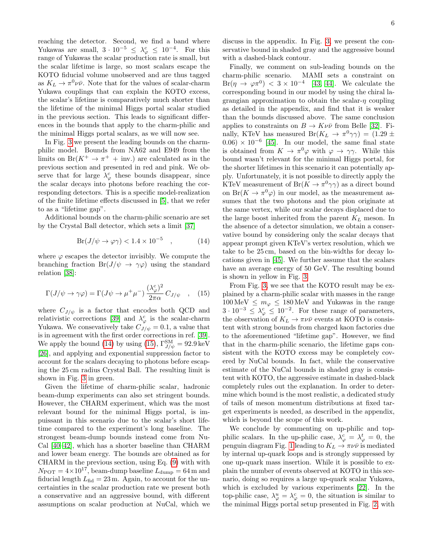reaching the detector. Second, we find a band where Yukawas are small,  $3 \cdot 10^{-5} \leq \lambda_{\varphi}^c \leq 10^{-4}$ . For this range of Yukawas the scalar production rate is small, but the scalar lifetime is large, so most scalars escape the KOTO fiducial volume unobserved and are thus tagged as  $K_L \to \pi^0 \nu \bar{\nu}$ . Note that for the values of scalar-charm Yukawa couplings that can explain the KOTO excess, the scalar's lifetime is comparatively much shorter than the lifetime of the minimal Higgs portal scalar studied in the previous section. This leads to significant differences in the bounds that apply to the charm-philic and the minimal Higgs portal scalars, as we will now see.

In Fig. [3](#page-4-0) we present the leading bounds on the charmphilic model. Bounds from NA62 and E949 from the limits on  $Br(K^+ \to \pi^+ + inv.)$  are calculated as in the previous section and presented in red and pink. We observe that for large  $\lambda_{\varphi}^{c}$  these bounds disappear, since the scalar decays into photons before reaching the corresponding detectors. This is a specific model-realization of the finite lifetime effects discussed in [\[5\]](#page-10-0), that we refer to as a "lifetime gap".

Additional bounds on the charm-philic scenario are set by the Crystal Ball detector, which sets a limit [\[37\]](#page-10-24)

<span id="page-5-0"></span>
$$
Br(J/\psi \to \varphi \gamma) < 1.4 \times 10^{-5} \quad , \tag{14}
$$

where  $\varphi$  escapes the detector invisibly. We compute the branching fraction  $Br(J/\psi \to \gamma\varphi)$  using the standard relation [\[38\]](#page-10-25):

<span id="page-5-1"></span>
$$
\Gamma(J/\psi \to \gamma \varphi) = \Gamma(J\psi \to \mu^+ \mu^-) \frac{(\lambda_{\varphi}^c)^2}{2\pi \alpha} C_{J/\psi} \quad , \quad (15)
$$

where  $C_{J/\psi}$  is a factor that encodes both QCD and relativistic corrections [\[39\]](#page-10-26) and  $\lambda_{\varphi}^{c}$  is the scalar-charm Yukawa. We consevatively take  $C_{J/\psi} = 0.1$ , a value that is in agreement with the first order corrections in ref. [\[39\]](#page-10-26). We apply the bound [\(14\)](#page-5-0) by using [\(15\)](#page-5-1),  $\Gamma_{J/\psi}^{\rm SM} = 92.9 \,\text{keV}$ [\[26\]](#page-10-12), and applying and exponential suppression factor to account for the scalars decaying to photons before escaping the 25 cm radius Crystal Ball. The resulting limit is shown in Fig. [3](#page-4-0) in green.

Given the lifetime of charm-philic scalar, hadronic beam-dump experiments can also set stringent bounds. However, the CHARM experiment, which was the most relevant bound for the minimal Higgs portal, is impuissant in this scenario due to the scalar's short lifetime compared to the experiment's long baseline. The strongest beam-dump bounds instead come from Nu-Cal [\[40](#page-10-27)[–42\]](#page-10-28), which has a shorter baseline than CHARM and lower beam energy. The bounds are obtained as for CHARM in the previous section, using Eq. [\(9\)](#page-3-0) with with  $N_{\text{POT}} = 4 \times 10^{17}$ , beam-dump baseline  $L_{\text{dump}} = 64 \,\text{m}$  and fiducial length  $L_{\text{fid}} = 23 \,\text{m}$ . Again, to account for the uncertainties in the scalar production rate we present both a conservative and an aggressive bound, with different assumptions on scalar production at NuCal, which we

discuss in the appendix. In Fig. [3,](#page-4-0) we present the conservative bound in shaded gray and the aggressive bound with a dashed-black contour.

Finally, we comment on sub-leading bounds on the charm-philic scenario. MAMI sets a constraint on  $Br(\eta \to \varphi \pi^0) < 3 \times 10^{-4}$  [\[43,](#page-10-29) [44\]](#page-11-0). We calculate the corresponding bound in our model by using the chiral lagrangian approximation to obtain the scalar- $\eta$  coupling as detailed in the appendix, and find that it is weaker than the bounds discussed above. The same conclusion applies to constraints on  $B \to K \nu \bar{\nu}$  from Belle [\[32\]](#page-10-19). Finally, KTeV has measured  $Br(K_L \to \pi^0 \gamma \gamma) = (1.29 \pm$  $(0.06) \times 10^{-6}$  [\[45\]](#page-11-1). In our model, the same final state is obtained from  $K \to \pi^0 \varphi$  with  $\varphi \to \gamma \gamma$ . While this bound wasn't relevant for the minimal Higgs portal, for the shorter lifetimes in this scenario it can potentially apply. Unfortunately, it is not possible to directly apply the KTeV measurement of  $Br(K \to \pi^0 \gamma \gamma)$  as a direct bound on  $Br(K \to \pi^0 \varphi)$  in our model, as the measurement assumes that the two photons and the pion originate at the same vertex, while our scalar decays displaced due to the large boost inherited from the parent  $K_L$  meson. In the absence of a detector simulation, we obtain a conservative bound by considering only the scalar decays that appear prompt given KTeV's vertex resolution, which we take to be 25 cm, based on the bin-widths for decay locations given in [\[45\]](#page-11-1). We further assume that the scalars have an average energy of 50 GeV. The resulting bound is shown in yellow in Fig. [3.](#page-4-0)

From Fig. [3,](#page-4-0) we see that the KOTO result may be explained by a charm-philic scalar with masses in the range  $100 \,\mathrm{MeV} \leq m_{\varphi} \leq 180 \,\mathrm{MeV}$  and Yukawas in the range  $3 \cdot 10^{-3} \leq \lambda_{\varphi}^c \leq 10^{-2}$ . For these range of parameters, the observation of  $K_L \to \pi \nu \bar{\nu}$  events at KOTO is consistent with strong bounds from charged kaon factories due to the aforementioned "lifetime gap". However, we find that in the charm-philic scenario, the lifetime gaps consistent with the KOTO excess may be completely covered by NuCal bounds. In fact, while the conservative estimate of the NuCal bounds in shaded gray is consistent with KOTO, the aggressive estimate in dashed-black completely rules out the explanation. In order to determine which bound is the most realistic, a dedicated study of tails of meson momentum distributions at fixed target experiments is needed, as described in the appendix, which is beyond the scope of this work.

We conclude by commenting on up-philic and topphilic scalars. In the up-philic case,  $\lambda_{\varphi}^{c} = \lambda_{\varphi}^{t} = 0$ , the penguin diagram Fig. [1](#page-1-2) leading to  $K_L \to \pi \nu \bar{\nu}$  is mediated by internal up-quark loops and is strongly suppressed by one up-quark mass insertion. While it is possible to explain the number of events observed at KOTO in this scenario, doing so requires a large up-quark scalar Yukawa, which is excluded by various experiments [\[22\]](#page-10-9). In the top-philic case,  $\lambda_{\varphi}^u = \lambda_{\varphi}^c = 0$ , the situation is similar to the minimal Higgs portal setup presented in Fig. [2,](#page-2-0) with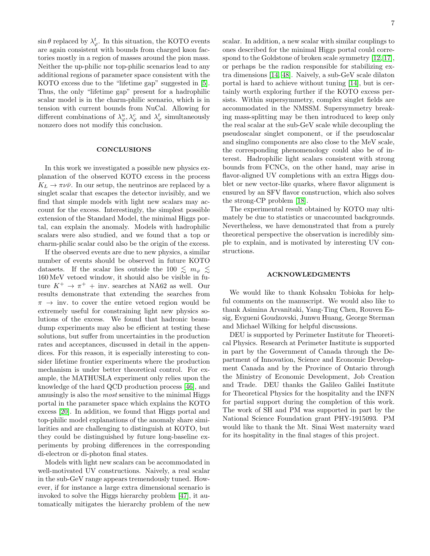$\sin \theta$  replaced by  $\lambda_{\varphi}^{t}$ . In this situation, the KOTO events are again consistent with bounds from charged kaon factories mostly in a region of masses around the pion mass. Neither the up-philic nor top-philic scenarios lead to any additional regions of parameter space consistent with the KOTO excess due to the "lifetime gap" suggested in [\[5\]](#page-10-0). Thus, the only "lifetime gap" present for a hadrophilic scalar model is in the charm-philic scenario, which is in tension with current bounds from NuCal. Allowing for different combinations of  $\lambda^u_\varphi, \lambda^c_\varphi$  and  $\lambda^t_\varphi$  simultaneously nonzero does not modify this conclusion.

## **CONCLUSIONS**

In this work we investigated a possible new physics explanation of the observed KOTO excess in the process  $K_L \rightarrow \pi \nu \bar{\nu}$ . In our setup, the neutrinos are replaced by a singlet scalar that escapes the detector invisibly, and we find that simple models with light new scalars may account for the excess. Interestingly, the simplest possible extension of the Standard Model, the minimal Higgs portal, can explain the anomaly. Models with hadrophilic scalars were also studied, and we found that a top or charm-philic scalar could also be the origin of the excess.

If the observed events are due to new physics, a similar number of events should be observed in future KOTO datasets. If the scalar lies outside the 100  $\lesssim m_\varphi \lesssim$ 160 MeV vetoed window, it should also be visible in future  $K^+ \rightarrow \pi^+$  + inv. searches at NA62 as well. Our results demonstrate that extending the searches from  $\pi \rightarrow \text{inv.}$  to cover the entire vetoed region would be extremely useful for constraining light new physics solutions of the excess. We found that hadronic beamdump experiments may also be efficient at testing these solutions, but suffer from uncertainties in the production rates and acceptances, discussed in detail in the appendices. For this reason, it is especially interesting to consider lifetime frontier experiments where the production mechanism is under better theoretical control. For example, the MATHUSLA experiment only relies upon the knowledge of the hard QCD production process [\[46\]](#page-11-2), and amusingly is also the most sensitive to the minimal Higgs portal in the parameter space which explains the KOTO excess [\[20\]](#page-10-7). In addition, we found that Higgs portal and top-philic model explanations of the anomaly share similarities and are challenging to distinguish at KOTO, but they could be distinguished by future long-baseline experiments by probing differences in the corresponding di-electron or di-photon final states.

Models with light new scalars can be accommodated in well-motivated UV constructions. Naively, a real scalar in the sub-GeV range appears tremendously tuned. However, if for instance a large extra dimensional scenario is invoked to solve the Higgs hierarchy problem [\[47\]](#page-11-3), it automatically mitigates the hierarchy problem of the new scalar. In addition, a new scalar with similar couplings to ones described for the minimal Higgs portal could correspond to the Goldstone of broken scale symmetry [\[12,](#page-10-30) [17\]](#page-10-4), or perhaps be the radion responsible for stabilizing extra dimensions [\[14,](#page-10-31) [48\]](#page-11-4). Naively, a sub-GeV scale dilaton portal is hard to achieve without tuning [\[14\]](#page-10-31), but is certainly worth exploring further if the KOTO excess persists. Within supersymmetry, complex singlet fields are accommodated in the NMSSM. Supersymmetry breaking mass-splitting may be then introduced to keep only the real scalar at the sub-GeV scale while decoupling the pseudoscalar singlet component, or if the pseudoscalar and singlino components are also close to the MeV scale, the corresponding phenomenology could also be of interest. Hadrophilic light scalars consistent with strong bounds from FCNCs, on the other hand, may arise in flavor-aligned UV completions with an extra Higgs doublet or new vector-like quarks, where flavor alignment is ensured by an SFV flavor construction, which also solves the strong-CP problem [\[18\]](#page-10-5).

The experimental result obtained by KOTO may ultimately be due to statistics or unaccounted backgrounds. Nevertheless, we have demonstrated that from a purely theoretical perspective the observation is incredibly simple to explain, and is motivated by interesting UV constructions.

# ACKNOWLEDGMENTS

We would like to thank Kohsaku Tobioka for helpful comments on the manuscript. We would also like to thank Asimina Arvanitaki, Yang-Ting Chen, Rouven Essig, Evgueni Goudzovski, Junwu Huang, George Sterman and Michael Wilking for helpful discussions.

DEU is supported by Perimeter Institute for Theoretical Physics. Research at Perimeter Institute is supported in part by the Government of Canada through the Department of Innovation, Science and Economic Development Canada and by the Province of Ontario through the Ministry of Economic Development, Job Creation and Trade. DEU thanks the Galileo Galilei Institute for Theoretical Physics for the hospitality and the INFN for partial support during the completion of this work. The work of SH and PM was supported in part by the National Science Foundation grant PHY-1915093. PM would like to thank the Mt. Sinai West maternity ward for its hospitality in the final stages of this project.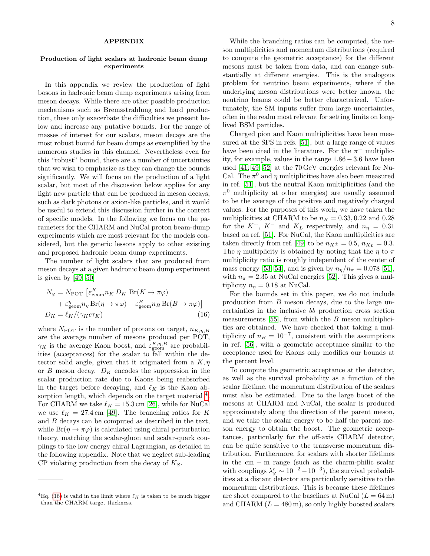### APPENDIX

# Production of light scalars at hadronic beam dump experiments

In this appendix we review the production of light bosons in hadronic beam dump experiments arising from meson decays. While there are other possible production mechanisms such as Bremsstrahlung and hard production, these only exacerbate the difficulties we present below and increase any putative bounds. For the range of masses of interest for our scalars, meson decays are the most robust bound for beam dumps as exemplified by the numerous studies in this channel. Nevertheless even for this "robust" bound, there are a number of uncertainties that we wish to emphasize as they can change the bounds significantly. We will focus on the production of a light scalar, but most of the discussion below applies for any light new particle that can be produced in meson decays, such as dark photons or axion-like particles, and it would be useful to extend this discussion further in the context of specific models. In the following we focus on the parameters for the CHARM and NuCal proton beam-dump experiments which are most relevant for the models considered, but the generic lessons apply to other existing and proposed hadronic beam dump experiments.

The number of light scalars that are produced from meson decays at a given hadronic beam dump experiment is given by [\[49,](#page-11-5) [50\]](#page-11-6)

<span id="page-7-0"></span>
$$
N_{\varphi} = N_{\text{POT}} \left[ \varepsilon_{\text{geom}}^{K} n_{K} D_{K} \operatorname{Br}(K \to \pi \varphi) + \varepsilon_{\text{geom}}^{\eta} n_{\eta} \operatorname{Br}(\eta \to \pi \varphi) + \varepsilon_{\text{geom}}^{B} n_{B} \operatorname{Br}(B \to \pi \varphi) \right]
$$
  

$$
D_{K} = \ell_{K} / (\gamma_{K} c \tau_{K})
$$
(16)

where  $N_{\text{POT}}$  is the number of protons on target,  $n_{K,n,B}$ are the average number of mesons produced per POT,  $\gamma_K$  is the average Kaon boost, and  $\varepsilon_{\text{geom}}^{K,\eta,B}$  are probabilities (acceptances) for the scalar to fall within the detector solid angle, given that it originated from a  $K, \eta$ or  $B$  meson decay.  $D_K$  encodes the suppression in the scalar production rate due to Kaons being reabsorbed in the target before decaying, and  $\ell_K$  is the Kaon ab-sorption length, which depends on the target material <sup>[4](#page-0-1)</sup>. For CHARM we take  $\ell_K = 15.3 \text{ cm}$  [\[26\]](#page-10-12), while for NuCal we use  $\ell_K = 27.4 \,\mathrm{cm}$  [\[49\]](#page-11-5). The branching ratios for K and B decays can be computed as described in the text, while  $Br(\eta \to \pi \varphi)$  is calculated using chiral perturbation theory, matching the scalar-gluon and scalar-quark couplings to the low energy chiral Lagrangian, as detailed in the following appendix. Note that we neglect sub-leading  $CP$  violating production from the decay of  $K_S$ .

While the branching ratios can be computed, the meson multiplicities and momentum distributions (required to compute the geometric acceptance) for the different mesons must be taken from data, and can change substantially at different energies. This is the analogous problem for neutrino beam experiments, where if the underlying meson distributions were better known, the neutrino beams could be better characterized. Unfortunately, the SM inputs suffer from large uncertainties, often in the realm most relevant for setting limits on longlived BSM particles.

Charged pion and Kaon multiplicities have been measured at the SPS in refs. [\[51\]](#page-11-7), but a large range of values have been cited in the literature. For the  $\pi^+$  multiplicity, for example, values in the range  $1.86 - 3.6$  have been used [\[41,](#page-10-32) [49,](#page-11-5) [52\]](#page-11-8) at the 70 GeV energies relevant for Nu-Cal. The  $\pi^0$  and  $\eta$  multiplicities have also been measured in ref. [\[51\]](#page-11-7), but the neutral Kaon multiplicities (and the  $\pi^0$  multiplicity at other energies) are usually assumed to be the average of the positive and negatively charged values. For the purposes of this work, we have taken the multiplicities at CHARM to be  $n_K = 0.33, 0.22$  and 0.28 for the  $K^+$ ,  $K^-$  and  $K_L$  respectively, and  $n_n = 0.31$ based on ref. [\[51\]](#page-11-7). For NuCal, the Kaon multiplicities are taken directly from ref. [\[49\]](#page-11-5) to be  $n_{K^{\pm}} = 0.5$ ,  $n_{K_L} = 0.3$ . The  $\eta$  multiplicity is obtained by noting that the  $\eta$  to  $\pi$ multiplicity ratio is roughly independent of the center of mass energy [\[53,](#page-11-9) [54\]](#page-11-10), and is given by  $n_n/n_{\pi} = 0.078$  [\[51\]](#page-11-7), with  $n_{\pi} = 2.35$  at NuCal energies [\[52\]](#page-11-8). This gives a multiplicity  $n_{\eta} = 0.18$  at NuCal.

For the bounds set in this paper, we do not include production from B meson decays, due to the large uncertainties in the inclusive  $b\bar{b}$  production cross section measurements  $[55]$ , from which the B meson multiplicities are obtained. We have checked that taking a multiplicity of  $n_B = 10^{-7}$ , consistent with the assumptions in ref. [\[56\]](#page-11-12), with a geometric acceptance similar to the acceptance used for Kaons only modifies our bounds at the percent level.

To compute the geometric acceptance at the detector, as well as the survival probability as a function of the scalar lifetime, the momentum distribution of the scalars must also be estimated. Due to the large boost of the mesons at CHARM and NuCal, the scalar is produced approximately along the direction of the parent meson, and we take the scalar energy to be half the parent meson energy to obtain the boost. The geometric acceptances, particularly for the off-axis CHARM detector, can be quite sensitive to the transverse momentum distribution. Furthermore, for scalars with shorter lifetimes in the  $cm - m$  range (such as the charm-philic scalar with couplings  $\lambda_{\varphi}^c \sim 10^{-2} - 10^{-3}$ , the survival probabilities at a distant detector are particularly sensitive to the momentum distributions. This is because these lifetimes are short compared to the baselines at NuCal  $(L = 64 \,\mathrm{m})$ and CHARM  $(L = 480 \,\mathrm{m})$ , so only highly boosted scalars

<sup>&</sup>lt;sup>4</sup>Eq. [\(16\)](#page-7-0) is valid in the limit where  $\ell_H$  is taken to be much bigger than the CHARM target thickness.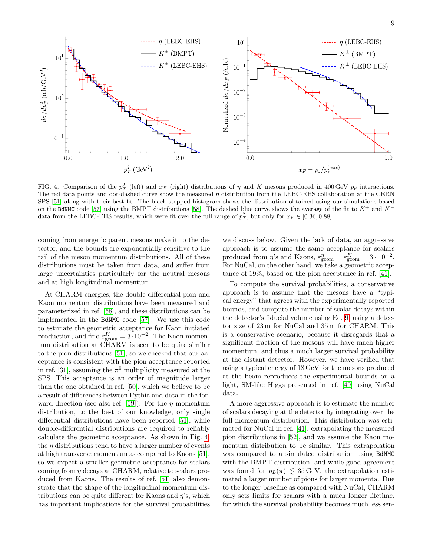

<span id="page-8-0"></span>FIG. 4. Comparison of the  $p_T^2$  (left) and  $x_F$  (right) distributions of  $\eta$  and K mesons produced in 400 GeV pp interactions. The red data points and dot-dashed curve show the measured  $\eta$  distribution from the LEBC-EHS collaboration at the CERN SPS [\[51\]](#page-11-7) along with their best fit. The black stepped histogram shows the distribution obtained using our simulations based on the BdNMC code [\[57\]](#page-11-13) using the BMPT distributions [\[58\]](#page-11-14). The dashed blue curve shows the average of the fit to  $K^+$  and  $K^$ data from the LEBC-EHS results, which were fit over the full range of  $p_T^2$ , but only for  $x_F \in [0.36, 0.88]$ .

coming from energetic parent mesons make it to the detector, and the bounds are exponentially sensitive to the tail of the meson momentum distributions. All of these distributions must be taken from data, and suffer from large uncertainties particularly for the neutral mesons and at high longitudinal momentum.

At CHARM energies, the double-differential pion and Kaon momentum distributions have been measured and parameterized in ref. [\[58\]](#page-11-14), and these distributions can be implemented in the BdNMC code [\[57\]](#page-11-13). We use this code to estimate the geometric acceptance for Kaon initiated production, and find  $\varepsilon_{\text{geom}}^K = 3 \cdot 10^{-2}$ . The Kaon momentum distribution at CHARM is seen to be quite similar to the pion distributions [\[51\]](#page-11-7), so we checked that our acceptance is consistent with the pion acceptance reported in ref. [\[31\]](#page-10-18), assuming the  $\pi^0$  multiplicity measured at the SPS. This acceptance is an order of magnitude larger than the one obtained in ref. [\[50\]](#page-11-6), which we believe to be a result of differences between Pythia and data in the for-ward direction (see also ref. [\[59\]](#page-11-15)). For the  $\eta$  momentum distribution, to the best of our knowledge, only single differential distributions have been reported [\[51\]](#page-11-7), while double-differential distributions are required to reliably calculate the geometric acceptance. As shown in Fig. [4,](#page-8-0) the  $\eta$  distributions tend to have a larger number of events at high transverse momentum as compared to Kaons [\[51\]](#page-11-7), so we expect a smaller geometric acceptance for scalars coming from  $\eta$  decays at CHARM, relative to scalars produced from Kaons. The results of ref. [\[51\]](#page-11-7) also demonstrate that the shape of the longitudinal momentum distributions can be quite different for Kaons and  $\eta$ 's, which has important implications for the survival probabilities

we discuss below. Given the lack of data, an aggressive approach is to assume the same acceptance for scalars produced from  $\eta$ 's and Kaons,  $\varepsilon_{\text{geom}}^{\eta} = \varepsilon_{\text{geom}}^K = 3 \cdot 10^{-2}$ . For NuCal, on the other hand, we take a geometric acceptance of 19%, based on the pion acceptance in ref. [\[41\]](#page-10-32).

To compute the survival probabilities, a conservative approach is to assume that the mesons have a "typical energy" that agrees with the experimentally reported bounds, and compute the number of scalar decays within the detector's fiducial volume using Eq. [9,](#page-3-0) using a detector size of 23 m for NuCal and 35 m for CHARM. This is a conservative scenario, because it disregards that a significant fraction of the mesons will have much higher momentum, and thus a much larger survival probability at the distant detector. However, we have verified that using a typical energy of 18 GeV for the mesons produced at the beam reproduces the experimental bounds on a light, SM-like Higgs presented in ref. [\[49\]](#page-11-5) using NuCal data.

A more aggressive approach is to estimate the number of scalars decaying at the detector by integrating over the full momentum distribution. This distribution was estimated for NuCal in ref. [\[41\]](#page-10-32), extrapolating the measured pion distributions in [\[52\]](#page-11-8), and we assume the Kaon momentum distribution to be similar. This extrapolation was compared to a simulated distribution using BdNMC with the BMPT distribution, and while good agreement was found for  $p_L(\pi) \lesssim 35 \,\text{GeV}$ , the extrapolation estimated a larger number of pions for larger momenta. Due to the longer baseline as compared with NuCal, CHARM only sets limits for scalars with a much longer lifetime, for which the survival probability becomes much less sen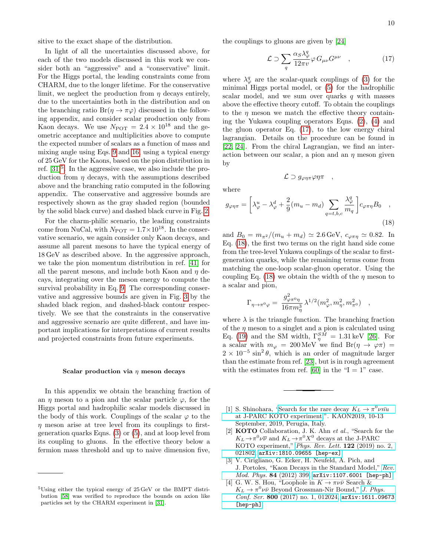sitive to the exact shape of the distribution.

In light of all the uncertainties discussed above, for each of the two models discussed in this work we consider both an "aggressive" and a "conservative" limit. For the Higgs portal, the leading constraints come from CHARM, due to the longer lifetime. For the conservative limit, we neglect the production from  $\eta$  decays entirely, due to the uncertainties both in the distribution and on the branching ratio  $Br(\eta \to \pi \varphi)$  discussed in the following appendix, and consider scalar production only from Kaon decays. We use  $N_{\text{POT}} = 2.4 \times 10^{18}$  and the geometric acceptance and multiplicities above to compute the expected number of scalars as a function of mass and mixing angle using Eqs. [9](#page-3-0) and [16,](#page-7-0) using a typical energy of 25 GeV for the Kaons, based on the pion distribution in ref. [\[31\]](#page-10-18)<sup>[5](#page-0-1)</sup>. In the aggressive case, we also include the production from  $\eta$  decays, with the assumptions described above and the branching ratio computed in the following appendix. The conservative and aggressive bounds are respectively shown as the gray shaded region (bounded by the solid black curve) and dashed black curve in Fig. [2.](#page-2-0)

For the charm-philic scenario, the leading constraints come from NuCal, with  $N_{\text{POT}} = 1.7 \times 10^{18}$ . In the conservative scenario, we again consider only Kaon decays, and assume all parent mesons to have the typical energy of 18 GeV as described above. In the aggressive approach, we take the pion momentum distribution in ref. [\[41\]](#page-10-32) for all the parent mesons, and include both Kaon and  $\eta$  decays, integrating over the meson energy to compute the survival probability in Eq. [9.](#page-3-0) The corresponding conservative and aggressive bounds are given in Fig. [3](#page-4-0) by the shaded black region, and dashed-black contour respectively. We see that the constraints in the conservative and aggressive scenario are quite different, and have important implications for interpretations of current results and projected constraints from future experiments.

#### Scalar production via  $\eta$  meson decays

In this appendix we obtain the branching fraction of an  $\eta$  meson to a pion and the scalar particle  $\varphi$ , for the Higgs portal and hadrophilic scalar models discussed in the body of this work. Couplings of the scalar  $\varphi$  to the  $\eta$  meson arise at tree level from its couplings to firstgeneration quarks Eqns. [\(3\)](#page-1-3) or [\(5\)](#page-1-5), and at loop level from its coupling to gluons. In the effective theory below a fermion mass threshold and up to naive dimension five,

the couplings to gluons are given by [\[24\]](#page-10-15)

<span id="page-9-4"></span>
$$
\mathcal{L} \supset \sum_{q} \frac{\alpha_{S} \lambda_{\varphi}^{q}}{12\pi v} \varphi \, G_{\mu\nu} G^{\mu\nu} \quad , \tag{17}
$$

where  $\lambda_{\varphi}^{q}$  are the scalar-quark couplings of [\(3\)](#page-1-3) for the minimal Higgs portal model, or [\(5\)](#page-1-5) for the hadrophilic scalar model, and we sum over quarks  $q$  with masses above the effective theory cutoff. To obtain the couplings to the  $\eta$  meson we match the effective theory containing the Yukawa coupling operators Eqns. [\(2\)](#page-1-0), [\(4\)](#page-1-1) and the gluon operator Eq. [\(17\)](#page-9-4), to the low energy chiral lagrangian. Details on the procedure can be found in [\[22,](#page-10-9) [24\]](#page-10-15). From the chiral Lagrangian, we find an interaction between our scalar, a pion and an  $\eta$  meson given by

<span id="page-9-5"></span> $\mathcal{L} \supset g_{\varphi\eta\pi}\varphi\eta\pi$ ,

where

$$
g_{\varphi\eta\pi} = \left[\lambda_{\varphi}^{u} - \lambda_{\varphi}^{d} + \frac{2}{9}(m_{u} - m_{d}) \sum_{q=t,b,c} \frac{\lambda_{\varphi}^{q}}{m_{q}}\right] c_{\varphi\pi\eta} B_{0} ,
$$
\n(18)

and  $B_0 = m_{\pi^2} / (m_u + m_d) \simeq 2.6 \,\text{GeV}, c_{\varphi \pi \eta} \simeq 0.82.$  In Eq. [\(18\)](#page-9-5), the first two terms on the right hand side come from the tree-level Yukawa couplings of the scalar to firstgeneration quarks, while the remaining terms come from matching the one-loop scalar-gluon operator. Using the coupling Eq. [\(18\)](#page-9-5) we obtain the width of the  $\eta$  meson to a scalar and pion,

<span id="page-9-6"></span>
$$
\Gamma_{\eta\rightarrow\pi^0\varphi}=\,\frac{g^2_{\varphi\pi^0\eta}}{16\pi m^3_\eta}\,\lambda^{1/2}(m^2_\varphi,m^2_\eta,m^2_{\pi^0})\quad ,
$$

where  $\lambda$  is the triangle function. The branching fraction of the  $\eta$  meson to a singlet and a pion is calculated using Eq. [\(19\)](#page-9-6) and the SM width,  $\Gamma_{\eta}^{SM} = 1.31 \,\text{keV}$  [\[26\]](#page-10-12). For a scalar with  $m_{\varphi} = 200 \,\text{MeV}$  we find  $\text{Br}(\eta \to \varphi \pi) =$  $2 \times 10^{-5} \sin^2 \theta$ , which is an order of magnitude larger than the estimate from ref. [\[23\]](#page-10-10), but is in rough agreement with the estimates from ref. [\[60\]](#page-11-16) in the " $I = 1$ " case.

- <span id="page-9-0"></span>[1] S. Shinohara, ["Search for the rare decay](https://indico.cern.ch/event/769729/contributions/3510939/attachments/1904988/3145907/KAON2019_shinohara_upload.pdf)  $K_L \to \pi^0 \nu \bar{n} \bar{u}$ [at J-PARC KOTO experiment,](https://indico.cern.ch/event/769729/contributions/3510939/attachments/1904988/3145907/KAON2019_shinohara_upload.pdf)". KAON2019, 10-13 September, 2019, Perugia, Italy.
- <span id="page-9-3"></span>[2] KOTO Collaboration, J. K. Ahn et al., "Search for the  $K_L \rightarrow \pi^0 \nu \overline{\nu}$  and  $K_L \rightarrow \pi^0 X^0$  decays at the J-PARC KOTO experiment," [Phys. Rev. Lett.](http://dx.doi.org/10.1103/PhysRevLett.122.021802) 122 (2019) no. 2, [021802,](http://dx.doi.org/10.1103/PhysRevLett.122.021802) [arXiv:1810.09655 \[hep-ex\]](http://arxiv.org/abs/1810.09655).
- <span id="page-9-1"></span>[3] V. Cirigliano, G. Ecker, H. Neufeld, A. Pich, and J. Portoles, "Kaon Decays in the Standard Model," [Rev.](http://dx.doi.org/10.1103/RevModPhys.84.399) [Mod. Phys.](http://dx.doi.org/10.1103/RevModPhys.84.399) 84 (2012) 399, [arXiv:1107.6001 \[hep-ph\]](http://arxiv.org/abs/1107.6001).
- <span id="page-9-2"></span>[4] G. W. S. Hou, "Loophole in  $K \to \pi \nu \bar{\nu}$  Search &  $K_L \to \pi^0 \nu \bar{\nu}$  Beyond Grossman-Nir Bound," [J. Phys.](http://dx.doi.org/10.1088/1742-6596/800/1/012024) Conf. Ser. 800 [\(2017\) no. 1, 012024,](http://dx.doi.org/10.1088/1742-6596/800/1/012024) [arXiv:1611.09673](http://arxiv.org/abs/1611.09673) [\[hep-ph\]](http://arxiv.org/abs/1611.09673).

<sup>5</sup>Using either the typical energy of 25 GeV or the BMPT distribution [\[58\]](#page-11-14) was verified to reproduce the bounds on axion like particles set by the CHARM experiment in [\[31\]](#page-10-18).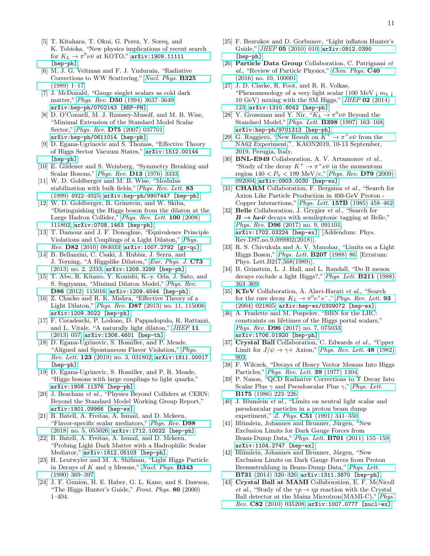- <span id="page-10-0"></span>[5] T. Kitahara, T. Okui, G. Perez, Y. Soreq, and K. Tobioka, "New physics implications of recent search for  $K_L \rightarrow \pi^0 \nu \bar{\nu}$  at KOTO," [arXiv:1909.11111](http://arxiv.org/abs/1909.11111) [\[hep-ph\]](http://arxiv.org/abs/1909.11111).
- <span id="page-10-1"></span>[6] M. J. G. Veltman and F. J. Yndurain, "Radiative Corrections to WW Scattering," [Nucl. Phys.](http://dx.doi.org/10.1016/0550-3213(89)90369-6) B325 [\(1989\) 1–17.](http://dx.doi.org/10.1016/0550-3213(89)90369-6)
- [7] J. McDonald, "Gauge singlet scalars as cold dark matter," Phys. Rev. D50 [\(1994\) 3637–3649,](http://dx.doi.org/10.1103/PhysRevD.50.3637) [arXiv:hep-ph/0702143 \[HEP-PH\]](http://arxiv.org/abs/hep-ph/0702143).
- [8] D. O'Connell, M. J. Ramsey-Musolf, and M. B. Wise, "Minimal Extension of the Standard Model Scalar Sector," Phys. Rev. D75 [\(2007\) 037701,](http://dx.doi.org/10.1103/PhysRevD.75.037701) [arXiv:hep-ph/0611014 \[hep-ph\]](http://arxiv.org/abs/hep-ph/0611014).
- <span id="page-10-2"></span>[9] D. Egana-Ugrinovic and S. Thomas, "Effective Theory of Higgs Sector Vacuum States," [arXiv:1512.00144](http://arxiv.org/abs/1512.00144) [\[hep-ph\]](http://arxiv.org/abs/1512.00144).
- <span id="page-10-3"></span>[10] E. Gildener and S. Weinberg, "Symmetry Breaking and Scalar Bosons," Phys. Rev. D13 [\(1976\) 3333.](http://dx.doi.org/10.1103/PhysRevD.13.3333)
- [11] W. D. Goldberger and M. B. Wise, "Modulus stabilization with bulk fields," [Phys. Rev. Lett.](http://dx.doi.org/10.1103/PhysRevLett.83.4922) 83 [\(1999\) 4922–4925,](http://dx.doi.org/10.1103/PhysRevLett.83.4922) [arXiv:hep-ph/9907447 \[hep-ph\]](http://arxiv.org/abs/hep-ph/9907447).
- <span id="page-10-30"></span>[12] W. D. Goldberger, B. Grinstein, and W. Skiba, "Distinguishing the Higgs boson from the dilaton at the Large Hadron Collider," [Phys. Rev. Lett.](http://dx.doi.org/10.1103/PhysRevLett.100.111802) 100 (2008) [111802,](http://dx.doi.org/10.1103/PhysRevLett.100.111802) [arXiv:0708.1463 \[hep-ph\]](http://arxiv.org/abs/0708.1463).
- [13] T. Damour and J. F. Donoghue, "Equivalence Principle Violations and Couplings of a Light Dilaton," [Phys.](http://dx.doi.org/10.1103/PhysRevD.82.084033) Rev. D82 [\(2010\) 084033,](http://dx.doi.org/10.1103/PhysRevD.82.084033) [arXiv:1007.2792 \[gr-qc\]](http://arxiv.org/abs/1007.2792).
- <span id="page-10-31"></span>[14] B. Bellazzini, C. Csaki, J. Hubisz, J. Serra, and J. Terning, "A Higgslike Dilaton," [Eur. Phys. J.](http://dx.doi.org/10.1140/epjc/s10052-013-2333-x) C73 [\(2013\) no. 2, 2333,](http://dx.doi.org/10.1140/epjc/s10052-013-2333-x) [arXiv:1209.3299 \[hep-ph\]](http://arxiv.org/abs/1209.3299).
- [15] T. Abe, R. Kitano, Y. Konishi, K.-y. Oda, J. Sato, and S. Sugiyama, "Minimal Dilaton Model," [Phys. Rev.](http://dx.doi.org/10.1103/PhysRevD.86.115016) D86 [\(2012\) 115016,](http://dx.doi.org/10.1103/PhysRevD.86.115016) [arXiv:1209.4544 \[hep-ph\]](http://arxiv.org/abs/1209.4544).
- [16] Z. Chacko and R. K. Mishra, "Effective Theory of a Light Dilaton," Phys. Rev. D87 [\(2013\) no. 11, 115006,](http://dx.doi.org/10.1103/PhysRevD.87.115006) [arXiv:1209.3022 \[hep-ph\]](http://arxiv.org/abs/1209.3022).
- <span id="page-10-4"></span>[17] F. Coradeschi, P. Lodone, D. Pappadopulo, R. Rattazzi, and L. Vitale, "A naturally light dilaton," [JHEP](http://dx.doi.org/10.1007/JHEP11(2013)057) 11 [\(2013\) 057,](http://dx.doi.org/10.1007/JHEP11(2013)057) [arXiv:1306.4601 \[hep-th\]](http://arxiv.org/abs/1306.4601).
- <span id="page-10-5"></span>[18] D. Egana-Ugrinovic, S. Homiller, and P. Meade, "Aligned and Spontaneous Flavor Violation," [Phys.](http://dx.doi.org/10.1103/PhysRevLett.123.031802) Rev. Lett. 123 [\(2019\) no. 3, 031802,](http://dx.doi.org/10.1103/PhysRevLett.123.031802)  $arXiv:1811.00017$ [\[hep-ph\]](http://arxiv.org/abs/1811.00017).
- <span id="page-10-6"></span>[19] D. Egana-Ugrinovic, S. Homiller, and P. R. Meade, "Higgs bosons with large couplings to light quarks," [arXiv:1908.11376 \[hep-ph\]](http://arxiv.org/abs/1908.11376).
- <span id="page-10-7"></span>[20] J. Beacham et al., "Physics Beyond Colliders at CERN: Beyond the Standard Model Working Group Report," [arXiv:1901.09966 \[hep-ex\]](http://arxiv.org/abs/1901.09966).
- <span id="page-10-8"></span>[21] B. Batell, A. Freitas, A. Ismail, and D. Mckeen, "Flavor-specific scalar mediators," [Phys. Rev.](http://dx.doi.org/10.1103/PhysRevD.98.055026) D98 [\(2018\) no. 5, 055026,](http://dx.doi.org/10.1103/PhysRevD.98.055026) [arXiv:1712.10022 \[hep-ph\]](http://arxiv.org/abs/1712.10022).
- <span id="page-10-9"></span>[22] B. Batell, A. Freitas, A. Ismail, and D. Mckeen, "Probing Light Dark Matter with a Hadrophilic Scalar Mediator," [arXiv:1812.05103 \[hep-ph\]](http://arxiv.org/abs/1812.05103).
- <span id="page-10-10"></span>[23] H. Leutwyler and M. A. Shifman, "Light Higgs Particle in Decays of K and  $\eta$  Mesons," [Nucl. Phys.](http://dx.doi.org/10.1016/0550-3213(90)90475-S) **B343** [\(1990\) 369–397.](http://dx.doi.org/10.1016/0550-3213(90)90475-S)
- <span id="page-10-15"></span>[24] J. F. Gunion, H. E. Haber, G. L. Kane, and S. Dawson, "The Higgs Hunter's Guide," Front. Phys. 80 (2000) 1–404.
- <span id="page-10-11"></span>[25] F. Bezrukov and D. Gorbunov, "Light inflaton Hunter's Guide," JHEP 05 [\(2010\) 010,](http://dx.doi.org/10.1007/JHEP05(2010)010) [arXiv:0912.0390](http://arxiv.org/abs/0912.0390) [\[hep-ph\]](http://arxiv.org/abs/0912.0390).
- <span id="page-10-12"></span>[26] Particle Data Group Collaboration, C. Patrignani et al., "Review of Particle Physics," [Chin. Phys.](http://dx.doi.org/10.1088/1674-1137/40/10/100001) C40 [\(2016\) no. 10, 100001.](http://dx.doi.org/10.1088/1674-1137/40/10/100001)
- <span id="page-10-13"></span>[27] J. D. Clarke, R. Foot, and R. R. Volkas, "Phenomenology of a very light scalar (100 MeV  $\mid m_h \mid$ 10 GeV) mixing with the SM Higgs,"  $JHEP$  02 [\(2014\)](http://dx.doi.org/10.1007/JHEP02(2014)123) [123,](http://dx.doi.org/10.1007/JHEP02(2014)123) [arXiv:1310.8042 \[hep-ph\]](http://arxiv.org/abs/1310.8042).
- <span id="page-10-14"></span>[28] Y. Grossman and Y. Nir,  $K_L \to \pi^0 \nu \bar{\nu}$  Beyond the Standard Model," Phys. Lett. B398 [\(1997\) 163–168,](http://dx.doi.org/10.1016/S0370-2693(97)00210-4) [arXiv:hep-ph/9701313 \[hep-ph\]](http://arxiv.org/abs/hep-ph/9701313).
- <span id="page-10-16"></span>[29] G. Ruggiero, ["New Result on](https://indico.cern.ch/event/769729/contributions/3510938/attachments/1905346/3146619/kaon2019_ruggiero_final.pdf)  $K^+ \to \pi^+ \nu \bar{\nu}$  from the [NA62 Experiment,](https://indico.cern.ch/event/769729/contributions/3510938/attachments/1905346/3146619/kaon2019_ruggiero_final.pdf)". KAON2019, 10-13 September, 2019, Perugia, Italy.
- <span id="page-10-17"></span>[30] **BNL-E949** Collaboration, A. V. Artamonov et al., "Study of the decay  $K^+ \to \pi^+ \nu \bar{\nu}$  in the momentum region  $140 < P_{\pi} < 199 \text{ MeV/c}$ ," [Phys. Rev.](http://dx.doi.org/10.1103/PhysRevD.79.092004) D79 (2009) [092004,](http://dx.doi.org/10.1103/PhysRevD.79.092004) [arXiv:0903.0030 \[hep-ex\]](http://arxiv.org/abs/0903.0030).
- <span id="page-10-18"></span>[31] **CHARM** Collaboration, F. Bergsma et al., "Search for Axion Like Particle Production in 400-GeV Proton - Copper Interactions," Phys. Lett. 157B [\(1985\) 458–462.](http://dx.doi.org/10.1016/0370-2693(85)90400-9)
- <span id="page-10-19"></span>[32] Belle Collaboration, J. Grygier et al., "Search for  $B \to h \nu \bar{\nu}$  decays with semileptonic tagging at Belle," Phys. Rev. D96 [\(2017\) no. 9, 091101,](http://dx.doi.org/10.1103/PhysRevD.97.099902, 10.1103/PhysRevD.96.091101) [arXiv:1702.03224 \[hep-ex\]](http://arxiv.org/abs/1702.03224). [Addendum: Phys. Rev.D97,no.9,099902(2018)].
- <span id="page-10-20"></span>[33] R. S. Chivukula and A. V. Manohar, "Limits on a Light Higgs Boson," [Phys. Lett.](http://dx.doi.org/10.1016/0370-2693(88)90891-X) B207 (1988) 86. [Erratum: Phys. Lett.B217,568(1989)].
- <span id="page-10-21"></span>[34] B. Grinstein, L. J. Hall, and L. Randall, "Do B meson decays exclude a light Higgs?," [Phys. Lett.](http://dx.doi.org/10.1016/0370-2693(88)90916-1) B211 (1988) [363–369.](http://dx.doi.org/10.1016/0370-2693(88)90916-1)
- <span id="page-10-22"></span>[35] KTeV Collaboration, A. Alavi-Harati et al., "Search for the rare decay  $K_L \to \pi^0 e^+ e^-$ ," [Phys. Rev. Lett.](http://dx.doi.org/10.1103/PhysRevLett.93.021805) 93 [\(2004\) 021805,](http://dx.doi.org/10.1103/PhysRevLett.93.021805) [arXiv:hep-ex/0309072 \[hep-ex\]](http://arxiv.org/abs/hep-ex/0309072).
- <span id="page-10-23"></span>[36] A. Fradette and M. Pospelov, "BBN for the LHC: constraints on lifetimes of the Higgs portal scalars," Phys. Rev. D96 [\(2017\) no. 7, 075033,](http://dx.doi.org/10.1103/PhysRevD.96.075033) [arXiv:1706.01920 \[hep-ph\]](http://arxiv.org/abs/1706.01920).
- <span id="page-10-24"></span>[37] Crystal Ball Collaboration, C. Edwards et al., "Upper Limit for  $J/\psi \rightarrow \gamma +$  Axion," [Phys. Rev. Lett.](http://dx.doi.org/10.1103/PhysRevLett.48.903) 48 (1982) [903.](http://dx.doi.org/10.1103/PhysRevLett.48.903)
- <span id="page-10-25"></span>[38] F. Wilczek, "Decays of Heavy Vector Mesons Into Higgs Particles," [Phys. Rev. Lett.](http://dx.doi.org/10.1103/PhysRevLett.39.1304) 39 (1977) 1304.
- <span id="page-10-26"></span>[39] P. Nason, "QCD Radiative Corrections to Υ Decay Into Scalar Plus  $\gamma$  and Pseudoscalar Plus  $\gamma$ ," [Phys. Lett.](http://dx.doi.org/10.1016/0370-2693(86)90721-5) B175 [\(1986\) 223–226.](http://dx.doi.org/10.1016/0370-2693(86)90721-5)
- <span id="page-10-27"></span>[40] J. Blumlein et al., "Limits on neutral light scalar and pseudoscalar particles in a proton beam dump experiment," Z. Phys. C51 [\(1991\) 341–350.](http://dx.doi.org/10.1007/BF01548556)
- <span id="page-10-32"></span>[41] Blümlein, Johannes and Brunner, Jürgen, "New Exclusion Limits for Dark Gauge Forces from Beam-Dump Data," Phys. Lett. B701 [\(2011\) 155–159,](http://dx.doi.org/10.1016/j.physletb.2011.05.046) [arXiv:1104.2747 \[hep-ex\]](http://arxiv.org/abs/1104.2747).
- <span id="page-10-28"></span>[42] Blümlein, Johannes and Brunner, Jürgen, "New Exclusion Limits on Dark Gauge Forces from Proton Bremsstrahlung in Beam-Dump Data," [Phys. Lett.](http://dx.doi.org/10.1016/j.physletb.2014.02.029) B731 [\(2014\) 320–326,](http://dx.doi.org/10.1016/j.physletb.2014.02.029) [arXiv:1311.3870 \[hep-ph\]](http://arxiv.org/abs/1311.3870).
- <span id="page-10-29"></span>[43] Crystal Ball at MAMI Collaboration, E. F. McNicoll *et al.*, "Study of the  $\gamma p \to \eta p$  reaction with the Crystal Ball detector at the Mainz Microtron(MAMI-C)," [Phys.](http://dx.doi.org/10.1103/PhysRevC.84.029901, 10.1103/PhysRevC.82.035208) Rev. C82 [\(2010\) 035208,](http://dx.doi.org/10.1103/PhysRevC.84.029901, 10.1103/PhysRevC.82.035208) [arXiv:1007.0777 \[nucl-ex\]](http://arxiv.org/abs/1007.0777).